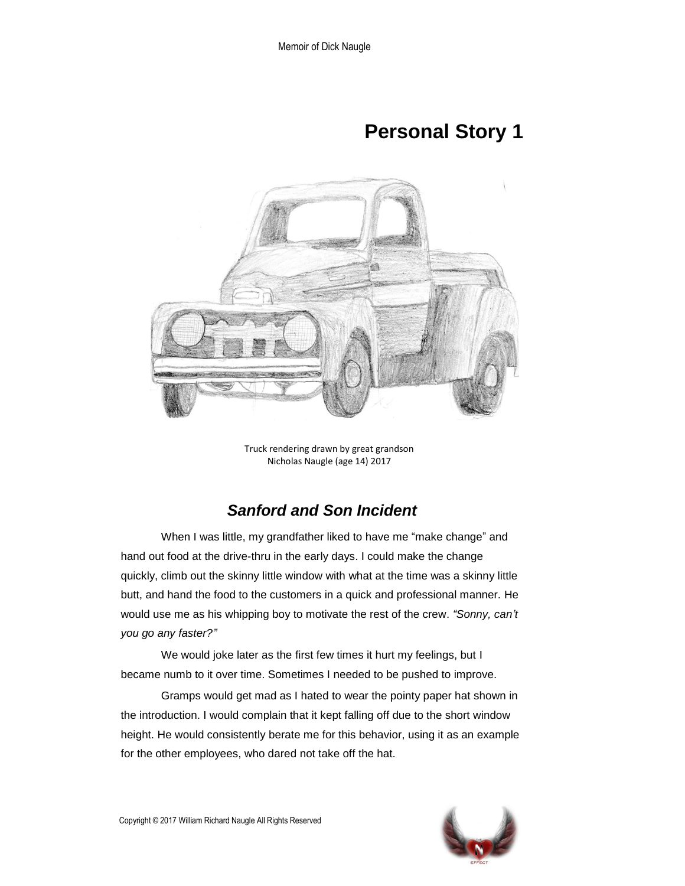## **Personal Story 1**



Truck rendering drawn by great grandson Nicholas Naugle (age 14) 2017

## *Sanford and Son Incident*

When I was little, my grandfather liked to have me "make change" and hand out food at the drive-thru in the early days. I could make the change quickly, climb out the skinny little window with what at the time was a skinny little butt, and hand the food to the customers in a quick and professional manner. He would use me as his whipping boy to motivate the rest of the crew. *"Sonny, can't you go any faster?"*

We would joke later as the first few times it hurt my feelings, but I became numb to it over time. Sometimes I needed to be pushed to improve.

Gramps would get mad as I hated to wear the pointy paper hat shown in the introduction. I would complain that it kept falling off due to the short window height. He would consistently berate me for this behavior, using it as an example for the other employees, who dared not take off the hat.

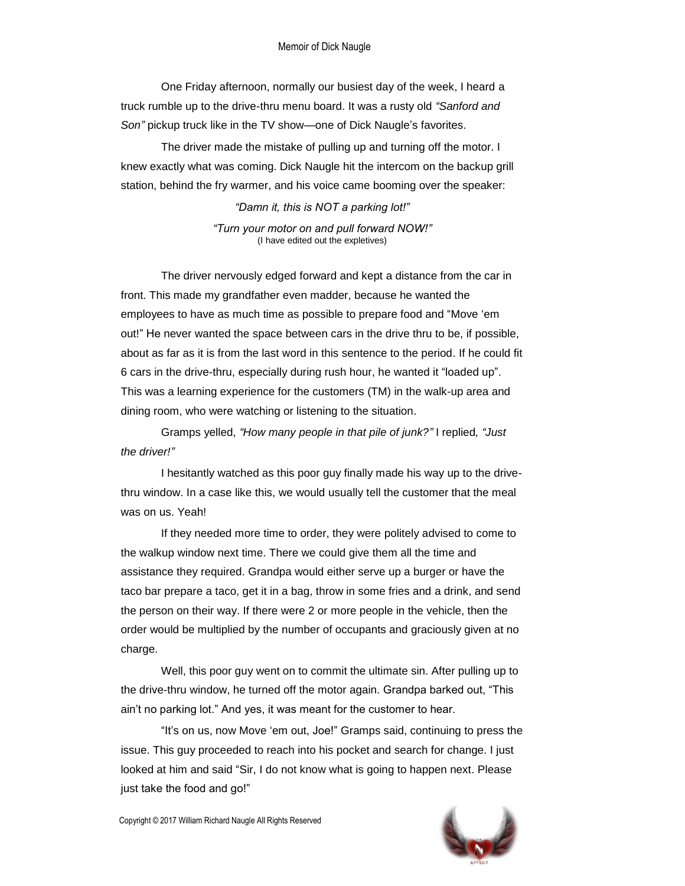One Friday afternoon, normally our busiest day of the week, I heard a truck rumble up to the drive-thru menu board. It was a rusty old *"Sanford and Son"* pickup truck like in the TV show—one of Dick Naugle's favorites.

The driver made the mistake of pulling up and turning off the motor. I knew exactly what was coming. Dick Naugle hit the intercom on the backup grill station, behind the fry warmer, and his voice came booming over the speaker:

> *"Damn it, this is NOT a parking lot!" "Turn your motor on and pull forward NOW!"* (I have edited out the expletives)

The driver nervously edged forward and kept a distance from the car in front. This made my grandfather even madder, because he wanted the employees to have as much time as possible to prepare food and "Move 'em out!" He never wanted the space between cars in the drive thru to be, if possible, about as far as it is from the last word in this sentence to the period. If he could fit 6 cars in the drive-thru, especially during rush hour, he wanted it "loaded up". This was a learning experience for the customers (TM) in the walk-up area and dining room, who were watching or listening to the situation.

Gramps yelled, *"How many people in that pile of junk?"* I replied*, "Just the driver!"*

I hesitantly watched as this poor guy finally made his way up to the drivethru window. In a case like this, we would usually tell the customer that the meal was on us. Yeah!

If they needed more time to order, they were politely advised to come to the walkup window next time. There we could give them all the time and assistance they required. Grandpa would either serve up a burger or have the taco bar prepare a taco, get it in a bag, throw in some fries and a drink, and send the person on their way. If there were 2 or more people in the vehicle, then the order would be multiplied by the number of occupants and graciously given at no charge.

Well, this poor guy went on to commit the ultimate sin. After pulling up to the drive-thru window, he turned off the motor again. Grandpa barked out, "This ain't no parking lot." And yes, it was meant for the customer to hear.

"It's on us, now Move 'em out, Joe!" Gramps said, continuing to press the issue. This guy proceeded to reach into his pocket and search for change. I just looked at him and said "Sir, I do not know what is going to happen next. Please just take the food and go!"

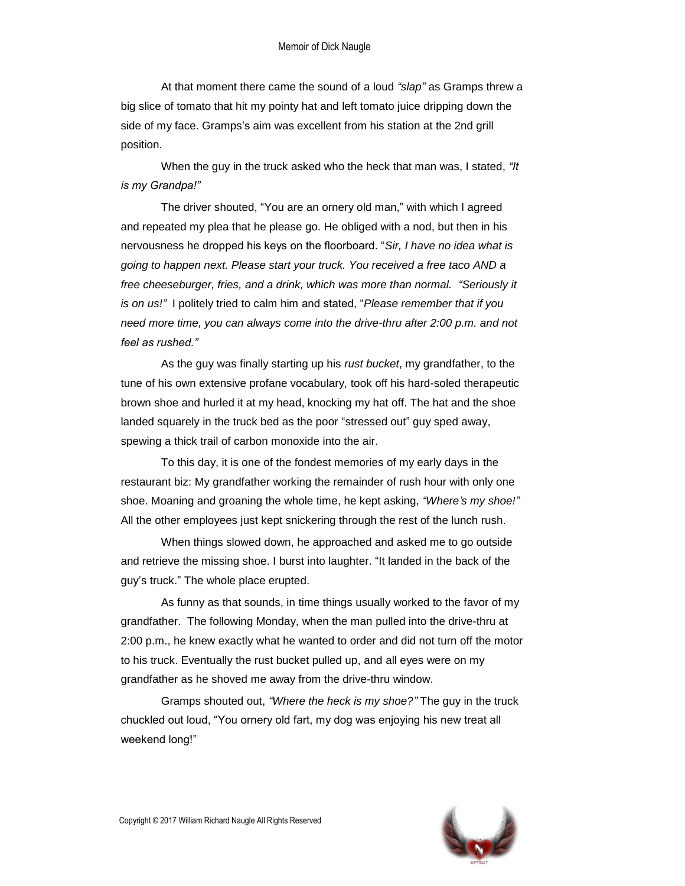At that moment there came the sound of a loud *"slap"* as Gramps threw a big slice of tomato that hit my pointy hat and left tomato juice dripping down the side of my face. Gramps's aim was excellent from his station at the 2nd grill position.

When the guy in the truck asked who the heck that man was, I stated, *"It is my Grandpa!"*

The driver shouted, "You are an ornery old man," with which I agreed and repeated my plea that he please go. He obliged with a nod, but then in his nervousness he dropped his keys on the floorboard. "*Sir, I have no idea what is going to happen next. Please start your truck. You received a free taco AND a free cheeseburger, fries, and a drink, which was more than normal. "Seriously it is on us!"* I politely tried to calm him and stated, "*Please remember that if you need more time, you can always come into the drive-thru after 2:00 p.m. and not feel as rushed."*

As the guy was finally starting up his *rust bucket*, my grandfather, to the tune of his own extensive profane vocabulary, took off his hard-soled therapeutic brown shoe and hurled it at my head, knocking my hat off. The hat and the shoe landed squarely in the truck bed as the poor "stressed out" guy sped away, spewing a thick trail of carbon monoxide into the air.

To this day, it is one of the fondest memories of my early days in the restaurant biz: My grandfather working the remainder of rush hour with only one shoe. Moaning and groaning the whole time, he kept asking, *"Where's my shoe!"* All the other employees just kept snickering through the rest of the lunch rush.

When things slowed down, he approached and asked me to go outside and retrieve the missing shoe. I burst into laughter. "It landed in the back of the guy's truck." The whole place erupted.

As funny as that sounds, in time things usually worked to the favor of my grandfather. The following Monday, when the man pulled into the drive-thru at 2:00 p.m., he knew exactly what he wanted to order and did not turn off the motor to his truck. Eventually the rust bucket pulled up, and all eyes were on my grandfather as he shoved me away from the drive-thru window.

Gramps shouted out, *"Where the heck is my shoe?"* The guy in the truck chuckled out loud, "You ornery old fart, my dog was enjoying his new treat all weekend long!"